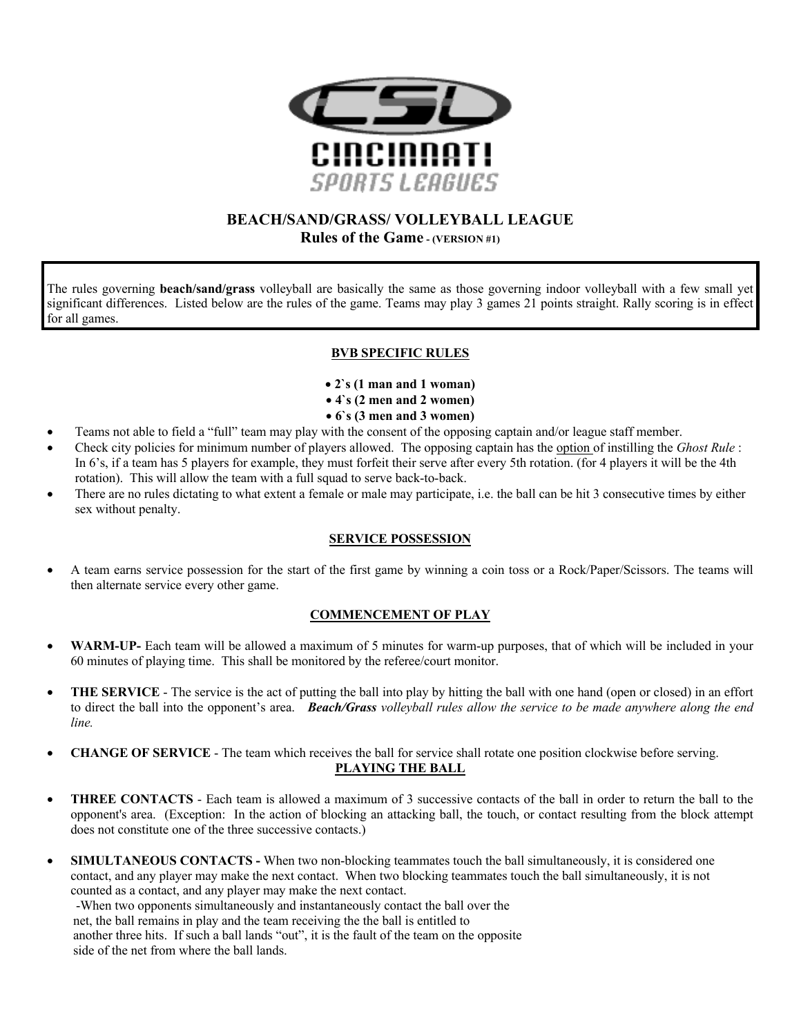

# **BEACH/SAND/GRASS/ VOLLEYBALL LEAGUE Rules of the Game - (VERSION #1)**

The rules governing **beach/sand/grass** volleyball are basically the same as those governing indoor volleyball with a few small yet significant differences. Listed below are the rules of the game. Teams may play 3 games 21 points straight. Rally scoring is in effect for all games.

## **BVB SPECIFIC RULES**

- **2`s (1 man and 1 woman)**
- **4`s (2 men and 2 women)**
- **6`s (3 men and 3 women)**
- Teams not able to field a "full" team may play with the consent of the opposing captain and/or league staff member.
- Check city policies for minimum number of players allowed. The opposing captain has the option of instilling the *Ghost Rule* : In 6's, if a team has 5 players for example, they must forfeit their serve after every 5th rotation. (for 4 players it will be the 4th rotation). This will allow the team with a full squad to serve back-to-back.
- There are no rules dictating to what extent a female or male may participate, i.e. the ball can be hit 3 consecutive times by either sex without penalty.

## **SERVICE POSSESSION**

• A team earns service possession for the start of the first game by winning a coin toss or a Rock/Paper/Scissors. The teams will then alternate service every other game.

## **COMMENCEMENT OF PLAY**

- **WARM-UP-** Each team will be allowed a maximum of 5 minutes for warm-up purposes, that of which will be included in your 60 minutes of playing time. This shall be monitored by the referee/court monitor.
- **THE SERVICE** The service is the act of putting the ball into play by hitting the ball with one hand (open or closed) in an effort to direct the ball into the opponent's area. *Beach/Grass volleyball rules allow the service to be made anywhere along the end line.*
- **CHANGE OF SERVICE** The team which receives the ball for service shall rotate one position clockwise before serving. **PLAYING THE BALL**
- **THREE CONTACTS** Each team is allowed a maximum of 3 successive contacts of the ball in order to return the ball to the opponent's area. (Exception: In the action of blocking an attacking ball, the touch, or contact resulting from the block attempt does not constitute one of the three successive contacts.)
- **SIMULTANEOUS CONTACTS -** When two non-blocking teammates touch the ball simultaneously, it is considered one contact, and any player may make the next contact. When two blocking teammates touch the ball simultaneously, it is not counted as a contact, and any player may make the next contact.

 -When two opponents simultaneously and instantaneously contact the ball over the net, the ball remains in play and the team receiving the the ball is entitled to another three hits. If such a ball lands "out", it is the fault of the team on the opposite side of the net from where the ball lands.